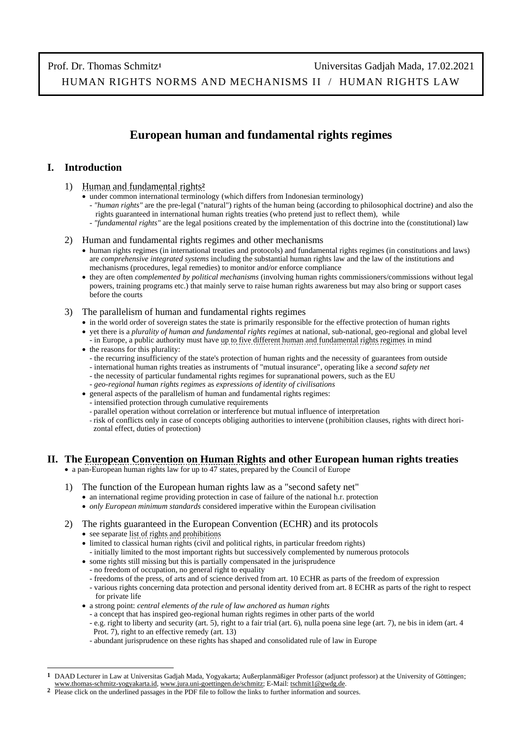# **European human and fundamental rights regimes**

### **I. Introduction**

- 1) [Human and fundamental rights](http://www.thomas-schmitz-yogyakarta.id/Downloads/Schmitz_HRLaw-UGM_terminology.pdf)**<sup>2</sup>**
	- under common international terminology (which differs from Indonesian terminology)
		- *"human rights"* are the pre-legal ("natural") rights of the human being (according to philosophical doctrine) and also the rights guaranteed in international human rights treaties (who pretend just to reflect them), while
		- *"fundamental rights"* are the legal positions created by the implementation of this doctrine into the (constitutional) law

### 2) Human and fundamental rights regimes and other mechanisms

- human rights regimes (in international treaties and protocols) and fundamental rights regimes (in constitutions and laws) are *comprehensive integrated systems* including the substantial human rights law and the law of the institutions and mechanisms (procedures, legal remedies) to monitor and/or enforce compliance
- they are often *complemented by political mechanisms* (involving human rights commissioners/commissions without legal powers, training programs etc.) that mainly serve to raise human rights awareness but may also bring or support cases before the courts
- 3) The parallelism of human and fundamental rights regimes
	- in the world order of sovereign states the state is primarily responsible for the effective protection of human rights
	- yet there is a *plurality of human and fundamental rights regimes* at national, sub-national, geo-regional and global level - in Europe, a public authority must have [up to five different human and fundamental rights regimes](http://www.thomas-schmitz-yogyakarta.id/Downloads/Schmitz_HRLaw-UGM_norms-to-bear-in-mind.pdf) in mind
	- the reasons for this plurality:
		- the recurring insufficiency of the state's protection of human rights and the necessity of guarantees from outside - international human rights treaties as instruments of "mutual insurance", operating like a *second safety net*
		- the necessity of particular fundamental rights regimes for supranational powers, such as the EU
		- *geo-regional human rights regimes* as *expressions of identity of civilisations*
	- general aspects of the parallelism of human and fundamental rights regimes:
		- intensified protection through cumulative requirements
		- parallel operation without correlation or interference but mutual influence of interpretation
		- risk of conflicts only in case of concepts obliging authorities to intervene (prohibition clauses, rights with direct hori zontal effect, duties of protection)

## **II. The [European Convention on Human Rights](https://www.echr.coe.int/Pages/home.aspx?p=basictexts/convention) and other European human rights treaties**

- a pan-European human rights law for up to 47 states, prepared by the Council of Europe
- 1) The function of the European human rights law as a "second safety net"
	- an international regime providing protection in case of failure of the national h.r. protection
	- *only European minimum standards* considered imperative within the European civilisation
- 2) The rights guaranteed in the European Convention (ECHR) and its protocols
	- see separate [list of rights and prohibitions](http://www.thomas-schmitz-yogyakarta.id/Downloads/Schmitz_HRNM-II_ECHR-rights.pdf)
	- limited to classical human rights (civil and political rights, in particular freedom rights)
	- initially limited to the most important rights but successively complemented by numerous protocols • some rights still missing but this is partially compensated in the jurisprudence
	- no freedom of occupation, no general right to equality
	- freedoms of the press, of arts and of science derived from art. 10 ECHR as parts of the freedom of expression
	- various rights concerning data protection and personal identity derived from art. 8 ECHR as parts of the right to respect for private life
	- a strong point: *central elements of the rule of law anchored as human rights*
		- a concept that has inspired geo-regional human rights regimes in other parts of the world
		- e.g. right to liberty and security (art. 5), right to a fair trial (art. 6), nulla poena sine lege (art. 7), ne bis in idem (art. 4 Prot. 7), right to an effective remedy (art. 13)
		- abundant jurisprudence on these rights has shaped and consolidated rule of law in Europe

**<sup>1</sup>** DAAD Lecturer in Law at Universitas Gadjah Mada, Yogyakarta; Außerplanmäßiger Professor (adjunct professor) at the University of Göttingen; [www.thomas-schmitz-yogyakarta.id,](http://www.thomas-schmitz-yogyakarta.id/) [www.jura.uni-goettingen.de/schmitz;](http://www.jura.uni-goettingen.de/schmitz) E-Mail[: tschmit1@gwdg.de.](mailto:tschmit1@gwdg.de)

**<sup>2</sup>** Please click on the underlined passages in the PDF file to follow the links to further information and sources.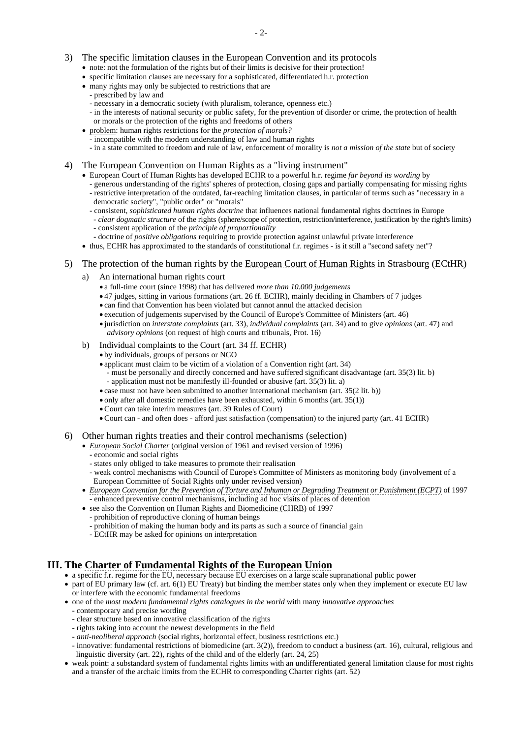- 3) The specific limitation clauses in the European Convention and its protocols
	- note: not the formulation of the rights but of their limits is decisive for their protection!
	- specific limitation clauses are necessary for a sophisticated, differentiated h.r. protection
	- many rights may only be subjected to restrictions that are
		- prescribed by law and
		- necessary in a democratic society (with pluralism, tolerance, openness etc.)
		- in the interests of national security or public safety, for the prevention of disorder or crime, the protection of health or morals or the protection of the rights and freedoms of others
	- problem: human rights restrictions for the *protection of morals?*
		- incompatible with the modern understanding of law and human rights
		- in a state commited to freedom and rule of law, enforcement of morality is *not a mission of the state* but of society
- 4) The European Convention on Human Rights as a ["living instrument"](https://www.echr.coe.int/Documents/Dialogue_2020_ENG.pdf)
	- European Court of Human Rights has developed ECHR to a powerful h.r. regime *far beyond its wording* by
		- generous understanding of the rights' spheres of protection, closing gaps and partially compensating for missing rights
		- restrictive interpretation of the outdated, far-reaching limitation clauses, in particular of terms such as "necessary in a democratic society", "public order" or "morals"
		- consistent, *sophisticated human rights doctrine* that influences national fundamental rights doctrines in Europe
		- *clear dogmatic structure* of the rights (sphere/scope of protection, restriction/interference, justification by the right's limits) - consistent application of the *principle of proportionality*
		- doctrine of *positive obligations* requiring to provide protection against unlawful private interference
	- thus, ECHR has approximated to the standards of constitutional f.r. regimes is it still a "second safety net"?
- 5) The protection of the human rights by the [European Court of Human Rights](https://www.echr.coe.int/) in Strasbourg (ECtHR)
	- a) An international human rights court
		- a full-time court (since 1998) that has delivered *more than 10.000 judgements*
		- 47 judges, sitting in various formations (art. 26 ff. ECHR), mainly deciding in Chambers of 7 judges
		- can find that Convention has been violated but cannot annul the attacked decision
		- execution of judgements supervised by the Council of Europe's Committee of Ministers (art. 46)
		- jurisdiction on *interstate complaints* (art. 33), *individual complaints* (art. 34) and to give *opinions* (art. 47) and *advisory opinions* (on request of high courts and tribunals, Prot. 16)
	- b) Individual complaints to the Court (art. 34 ff. ECHR)
		- by individuals, groups of persons or NGO
		- applicant must claim to be victim of a violation of a Convention right (art. 34)
			- must be personally and directly concerned and have suffered significant disadvantage (art. 35(3) lit. b) - application must not be manifestly ill-founded or abusive (art. 35(3) lit. a)
		- case must not have been submitted to another international mechanism (art. 35(2 lit. b))
		- only after all domestic remedies have been exhausted, within 6 months (art. 35(1))
		- •Court can take interim measures (art. 39 Rules of Court)
		- •Court can and often does afford just satisfaction (compensation) to the injured party (art. 41 ECHR)
- 6) Other human rights treaties and their control mechanisms (selection)
	- *[European Social Charter](https://www.coe.int/en/web/european-social-charter)* [\(original version of 1961](http://conventions.coe.int/treaty/en/Treaties/Html/035.htm) an[d revised version of 1996\)](http://conventions.coe.int/treaty/en/Treaties/Html/163.htm)
		- economic and social rights
		- states only obliged to take measures to promote their realisation
	- weak control mechanisms with Council of Europe's Committee of Ministers as monitoring body (involvement of a European Committee of Social Rights only under revised version)
	- *[European Convention for the Prevention of Torture and Inhuman or Degrading Treatment or Punishment \(ECPT\)](https://www.coe.int/en/web/conventions/full-list/-/conventions/treaty/126)* of 1997 - enhanced preventive control mechanisms, including ad hoc visits of places of detention
	- see also the [Convention on Human Rights and Biomedicine \(CHRB\)](https://www.coe.int/en/web/conventions/full-list/-/conventions/treaty/164) of 1997
		- prohibition of reproductive cloning of human beings
		- prohibition of making the human body and its parts as such a source of financial gain
		- ECtHR may be asked for opinions on interpretation

### **III. The [Charter of Fundamental Rights of the European Union](https://eur-lex.europa.eu/legal-content/EN/TXT/?uri=CELEX:12016P/TXT)**

- a specific f.r. regime for the EU, necessary because EU exercises on a large scale supranational public power
- part of EU primary law (cf. art. 6(1) EU Treaty) but binding the member states only when they implement or execute EU law or interfere with the economic fundamental freedoms
- one of the *most modern fundamental rights catalogues in the world* with many *innovative approaches* - contemporary and precise wording
	- clear structure based on innovative classification of the rights
	- rights taking into account the newest developments in the field
	- *anti-neoliberal approach* (social rights, horizontal effect, business restrictions etc.)
	- innovative: fundamental restrictions of biomedicine (art. 3(2)), freedom to conduct a business (art. 16), cultural, religious and linguistic diversity (art. 22), rights of the child and of the elderly (art. 24, 25)
- weak point: a substandard system of fundamental rights limits with an undifferentiated general limitation clause for most rights and a transfer of the archaic limits from the ECHR to corresponding Charter rights (art. 52)